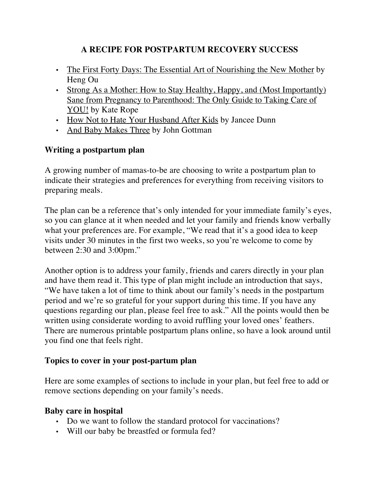### **A RECIPE FOR POSTPARTUM RECOVERY SUCCESS**

- The First Forty Days: The Essential Art of Nourishing the New Mother by Heng Ou
- Strong As a Mother: How to Stay Healthy, Happy, and (Most Importantly) Sane from Pregnancy to Parenthood: The Only Guide to Taking Care of YOU! by Kate Rope
- How Not to Hate Your Husband After Kids by Jancee Dunn
- And Baby Makes Three by John Gottman

### **Writing a postpartum plan**

A growing number of mamas-to-be are choosing to write a postpartum plan to indicate their strategies and preferences for everything from receiving visitors to preparing meals.

The plan can be a reference that's only intended for your immediate family's eyes, so you can glance at it when needed and let your family and friends know verbally what your preferences are. For example, "We read that it's a good idea to keep visits under 30 minutes in the first two weeks, so you're welcome to come by between 2:30 and 3:00pm."

Another option is to address your family, friends and carers directly in your plan and have them read it. This type of plan might include an introduction that says, "We have taken a lot of time to think about our family's needs in the postpartum period and we're so grateful for your support during this time. If you have any questions regarding our plan, please feel free to ask." All the points would then be written using considerate wording to avoid ruffling your loved ones' feathers. There are numerous printable postpartum plans online, so have a look around until you find one that feels right.

#### **Topics to cover in your post-partum plan**

Here are some examples of sections to include in your plan, but feel free to add or remove sections depending on your family's needs.

#### **Baby care in hospital**

- Do we want to follow the standard protocol for vaccinations?
- Will our baby be breastfed or formula fed?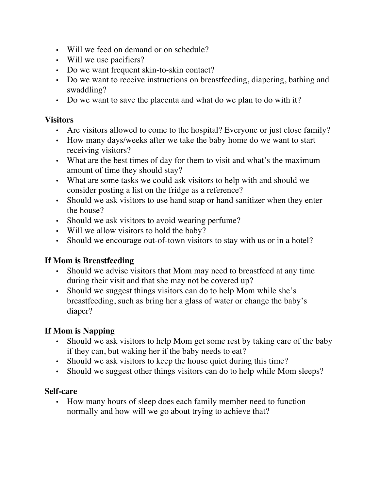- Will we feed on demand or on schedule?
- Will we use pacifiers?
- Do we want frequent skin-to-skin contact?
- Do we want to receive instructions on breastfeeding, diapering, bathing and swaddling?
- Do we want to save the placenta and what do we plan to do with it?

### **Visitors**

- Are visitors allowed to come to the hospital? Everyone or just close family?
- How many days/weeks after we take the baby home do we want to start receiving visitors?
- What are the best times of day for them to visit and what's the maximum amount of time they should stay?
- What are some tasks we could ask visitors to help with and should we consider posting a list on the fridge as a reference?
- Should we ask visitors to use hand soap or hand sanitizer when they enter the house?
- Should we ask visitors to avoid wearing perfume?
- Will we allow visitors to hold the baby?
- Should we encourage out-of-town visitors to stay with us or in a hotel?

### **If Mom is Breastfeeding**

- Should we advise visitors that Mom may need to breastfeed at any time during their visit and that she may not be covered up?
- Should we suggest things visitors can do to help Mom while she's breastfeeding, such as bring her a glass of water or change the baby's diaper?

# **If Mom is Napping**

- Should we ask visitors to help Mom get some rest by taking care of the baby if they can, but waking her if the baby needs to eat?
- Should we ask visitors to keep the house quiet during this time?
- Should we suggest other things visitors can do to help while Mom sleeps?

#### **Self-care**

• How many hours of sleep does each family member need to function normally and how will we go about trying to achieve that?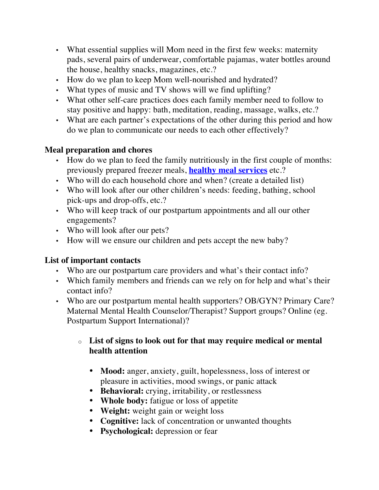- What essential supplies will Mom need in the first few weeks: maternity pads, several pairs of underwear, comfortable pajamas, water bottles around the house, healthy snacks, magazines, etc.?
- How do we plan to keep Mom well-nourished and hydrated?
- What types of music and TV shows will we find uplifting?
- What other self-care practices does each family member need to follow to stay positive and happy: bath, meditation, reading, massage, walks, etc.?
- What are each partner's expectations of the other during this period and how do we plan to communicate our needs to each other effectively?

#### **Meal preparation and chores**

- How do we plan to feed the family nutritiously in the first couple of months: previously prepared freezer meals, **healthy meal services** etc.?
- Who will do each household chore and when? (create a detailed list)
- Who will look after our other children's needs: feeding, bathing, school pick-ups and drop-offs, etc.?
- Who will keep track of our postpartum appointments and all our other engagements?
- Who will look after our pets?
- How will we ensure our children and pets accept the new baby?

#### **List of important contacts**

- Who are our postpartum care providers and what's their contact info?
- Which family members and friends can we rely on for help and what's their contact info?
- Who are our postpartum mental health supporters? OB/GYN? Primary Care? Maternal Mental Health Counselor/Therapist? Support groups? Online (eg. Postpartum Support International)?

#### o **List of signs to look out for that may require medical or mental health attention**

- **Mood:** anger, anxiety, guilt, hopelessness, loss of interest or pleasure in activities, mood swings, or panic attack
- **Behavioral:** crying, irritability, or restlessness
- **Whole body:** fatigue or loss of appetite
- **Weight:** weight gain or weight loss
- **Cognitive:** lack of concentration or unwanted thoughts
- **Psychological:** depression or fear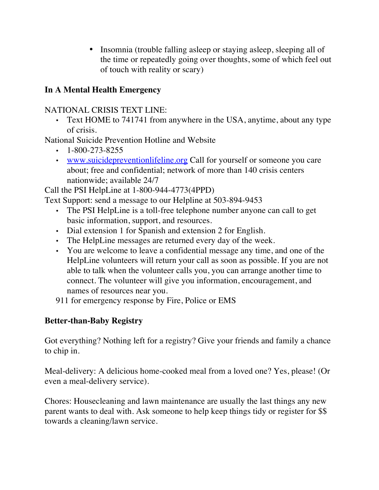• Insomnia (trouble falling asleep or staying asleep, sleeping all of the time or repeatedly going over thoughts, some of which feel out of touch with reality or scary)

## **In A Mental Health Emergency**

## NATIONAL CRISIS TEXT LINE:

• Text HOME to 741741 from anywhere in the USA, anytime, about any type of crisis.

National Suicide Prevention Hotline and Website

- $\cdot$  1-800-273-8255
- www.suicidepreventionlifeline.org Call for yourself or someone you care about; free and confidential; network of more than 140 crisis centers nationwide; available 24/7

Call the PSI HelpLine at 1-800-944-4773(4PPD)

Text Support: send a message to our Helpline at 503-894-9453

- The PSI HelpLine is a toll-free telephone number anyone can call to get basic information, support, and resources.
- Dial extension 1 for Spanish and extension 2 for English.
- The HelpLine messages are returned every day of the week.
- You are welcome to leave a confidential message any time, and one of the HelpLine volunteers will return your call as soon as possible. If you are not able to talk when the volunteer calls you, you can arrange another time to connect. The volunteer will give you information, encouragement, and names of resources near you.
- 911 for emergency response by Fire, Police or EMS

### **Better-than-Baby Registry**

Got everything? Nothing left for a registry? Give your friends and family a chance to chip in.

Meal-delivery: A delicious home-cooked meal from a loved one? Yes, please! (Or even a meal-delivery service).

Chores: Housecleaning and lawn maintenance are usually the last things any new parent wants to deal with. Ask someone to help keep things tidy or register for \$\$ towards a cleaning/lawn service.